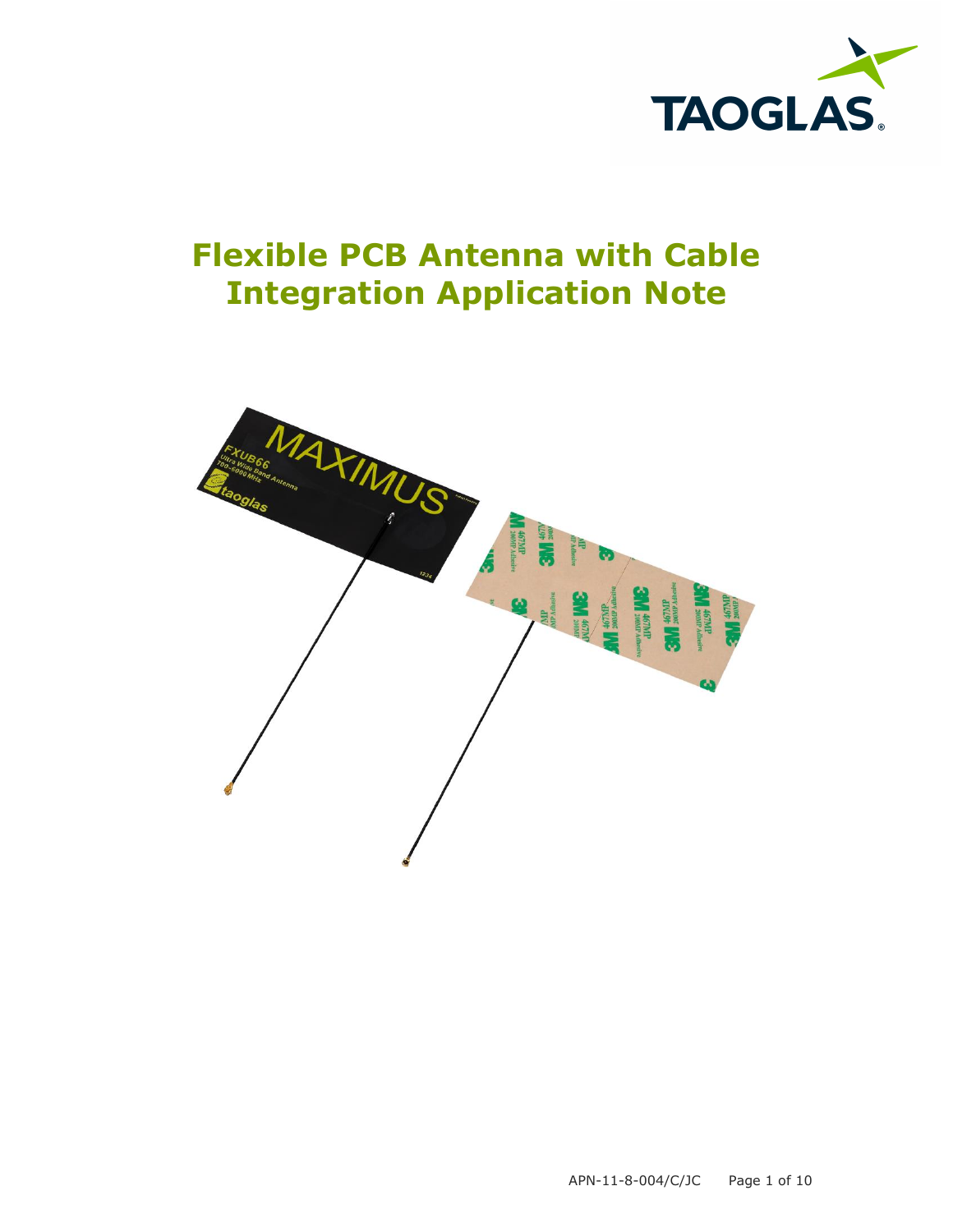

# **Flexible PCB Antenna with Cable Integration Application Note**

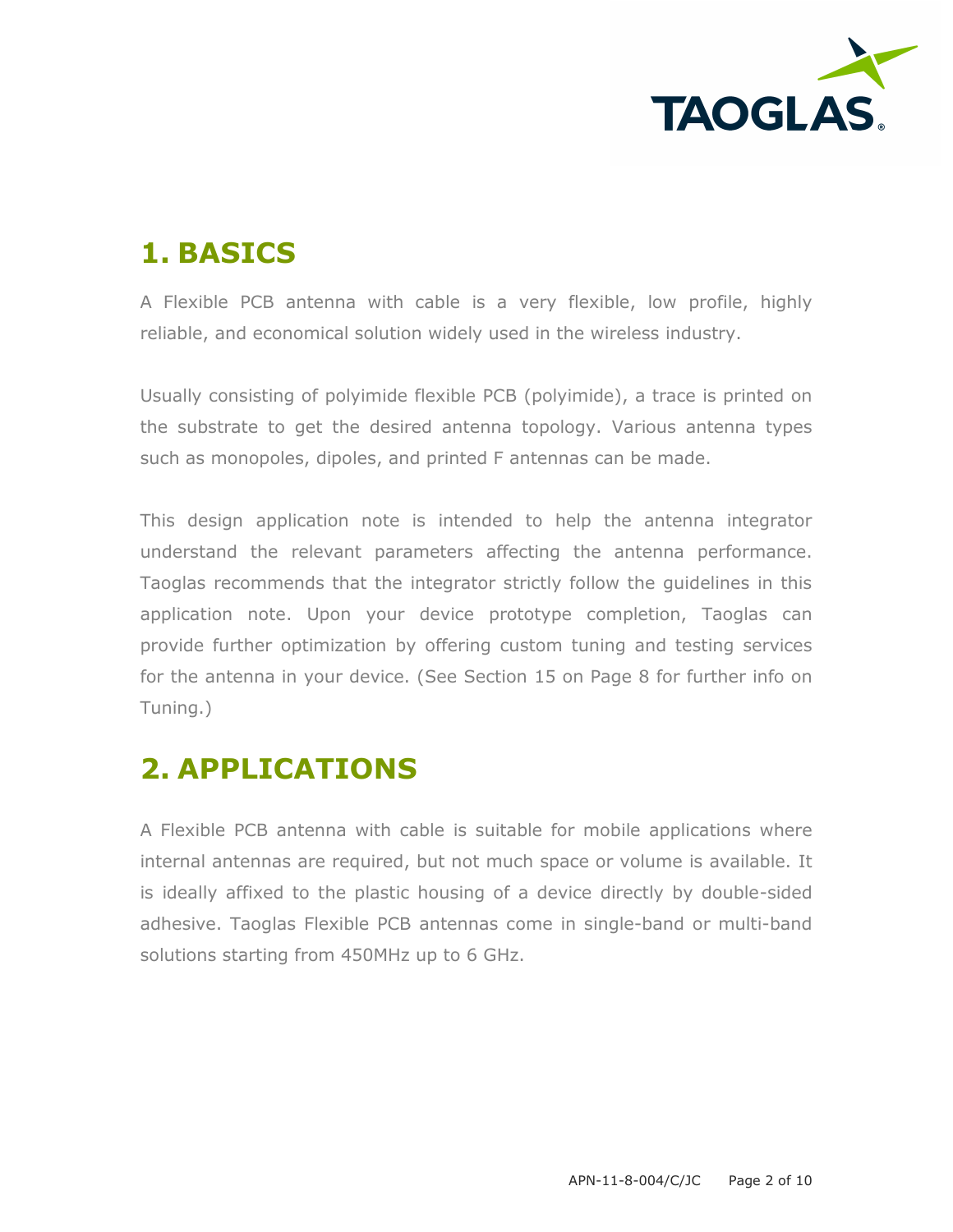

## **1. BASICS**

A Flexible PCB antenna with cable is a very flexible, low profile, highly reliable, and economical solution widely used in the wireless industry.

Usually consisting of polyimide flexible PCB (polyimide), a trace is printed on the substrate to get the desired antenna topology. Various antenna types such as monopoles, dipoles, and printed F antennas can be made.

This design application note is intended to help the antenna integrator understand the relevant parameters affecting the antenna performance. Taoglas recommends that the integrator strictly follow the guidelines in this application note. Upon your device prototype completion, Taoglas can provide further optimization by offering custom tuning and testing services for the antenna in your device. (See Section 15 on Page 8 for further info on Tuning.)

#### **2. APPLICATIONS**

A Flexible PCB antenna with cable is suitable for mobile applications where internal antennas are required, but not much space or volume is available. It is ideally affixed to the plastic housing of a device directly by double-sided adhesive. Taoglas Flexible PCB antennas come in single-band or multi-band solutions starting from 450MHz up to 6 GHz.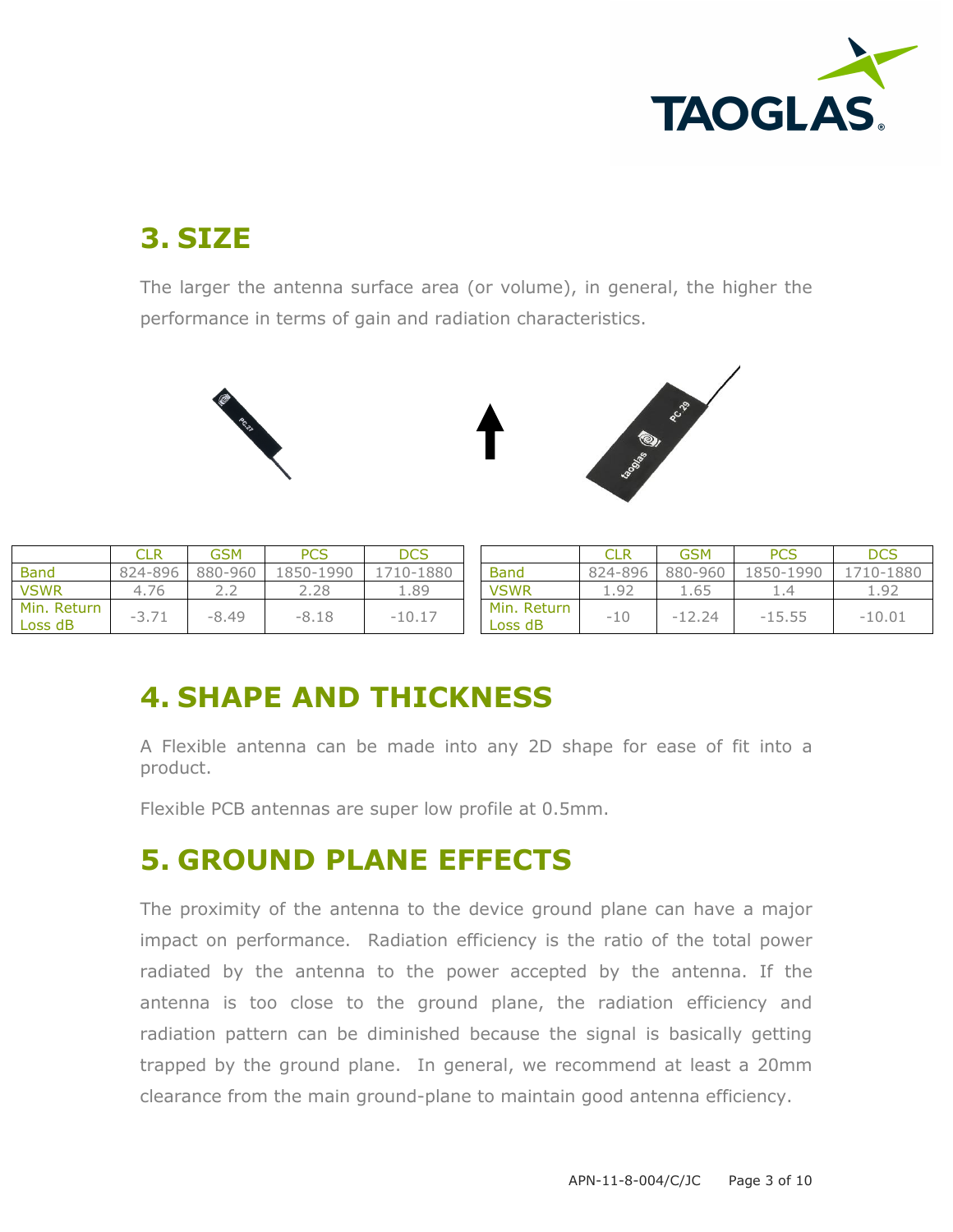

### **3. SIZE**

The larger the antenna surface area (or volume), in general, the higher the performance in terms of gain and radiation characteristics.





|                        |                                               | GSM     | <b>PCS</b> | DCS      |                        |         | <b>GSM</b> | <b>PCS</b> | DCS       |
|------------------------|-----------------------------------------------|---------|------------|----------|------------------------|---------|------------|------------|-----------|
| <b>Band</b>            | 824-896                                       | 880-960 | 1850-1990  | 710-1880 | <b>Band</b>            | 824-896 | 880-960    | 1850-1990  | 1710-1880 |
| <b>VSWR</b>            | 76                                            |         |            | 1.89     | <b>VSWR</b>            | $Q^2$   | 1.65       |            | .92       |
| Min. Return<br>Loss dB | $\sim$ $\rightarrow$ $\rightarrow$<br>$ \leq$ | $-8.49$ | $-8.18$    | $-10.17$ | Min. Return<br>Loss dB | -10     | 12.24<br>- | $-15.55$   | $-10.01$  |

## **4. SHAPE AND THICKNESS**

A Flexible antenna can be made into any 2D shape for ease of fit into a product.

Flexible PCB antennas are super low profile at 0.5mm.

#### **5. GROUND PLANE EFFECTS**

The proximity of the antenna to the device ground plane can have a major impact on performance. Radiation efficiency is the ratio of the total power radiated by the antenna to the power accepted by the antenna. If the antenna is too close to the ground plane, the radiation efficiency and radiation pattern can be diminished because the signal is basically getting trapped by the ground plane. In general, we recommend at least a 20mm clearance from the main ground-plane to maintain good antenna efficiency.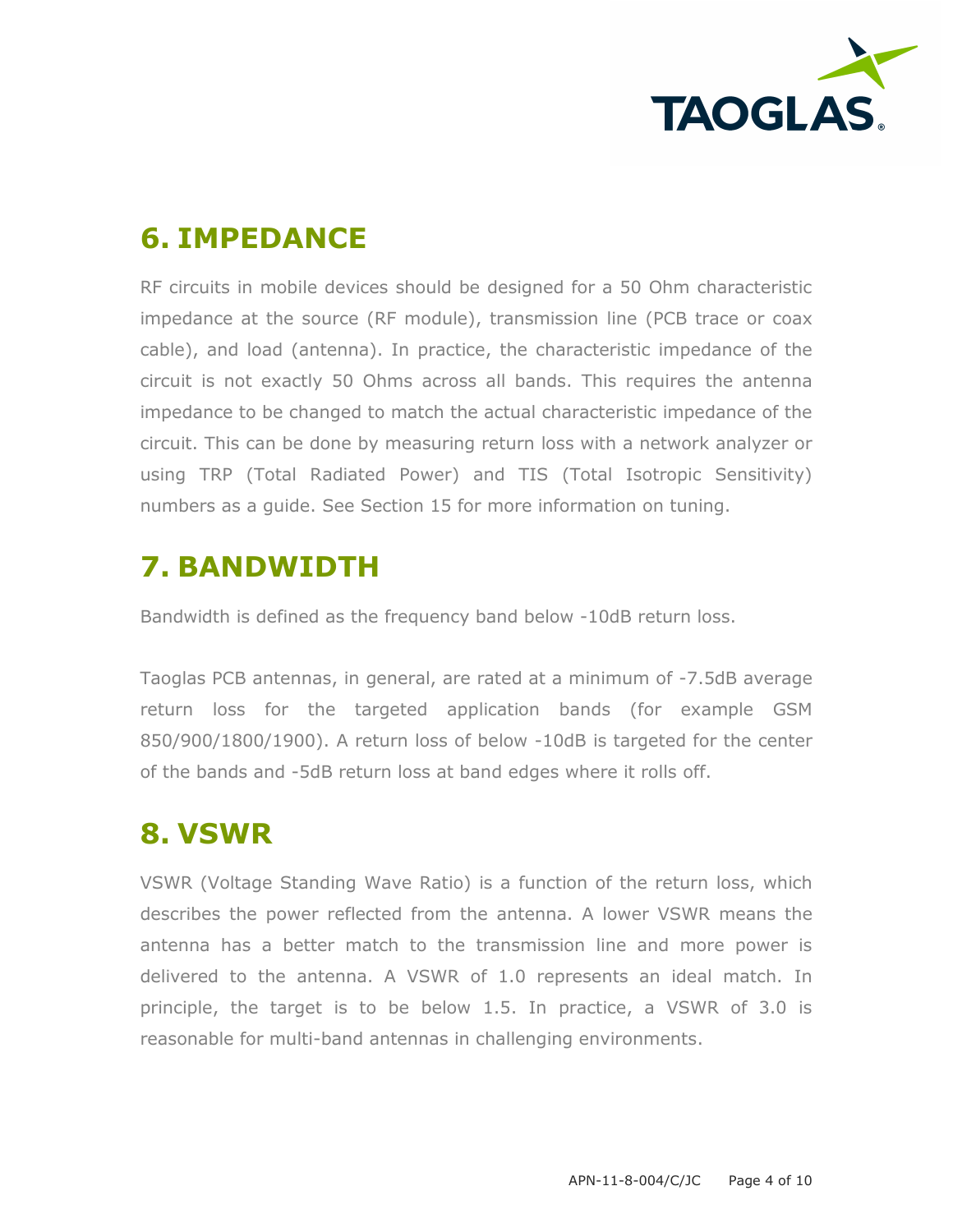

#### **6. IMPEDANCE**

RF circuits in mobile devices should be designed for a 50 Ohm characteristic impedance at the source (RF module), transmission line (PCB trace or coax cable), and load (antenna). In practice, the characteristic impedance of the circuit is not exactly 50 Ohms across all bands. This requires the antenna impedance to be changed to match the actual characteristic impedance of the circuit. This can be done by measuring return loss with a network analyzer or using TRP (Total Radiated Power) and TIS (Total Isotropic Sensitivity) numbers as a guide. See Section 15 for more information on tuning.

### **7. BANDWIDTH**

Bandwidth is defined as the frequency band below -10dB return loss.

Taoglas PCB antennas, in general, are rated at a minimum of -7.5dB average return loss for the targeted application bands (for example GSM 850/900/1800/1900). A return loss of below -10dB is targeted for the center of the bands and -5dB return loss at band edges where it rolls off.

#### **8. VSWR**

VSWR (Voltage Standing Wave Ratio) is a function of the return loss, which describes the power reflected from the antenna. A lower VSWR means the antenna has a better match to the transmission line and more power is delivered to the antenna. A VSWR of 1.0 represents an ideal match. In principle, the target is to be below 1.5. In practice, a VSWR of 3.0 is reasonable for multi-band antennas in challenging environments.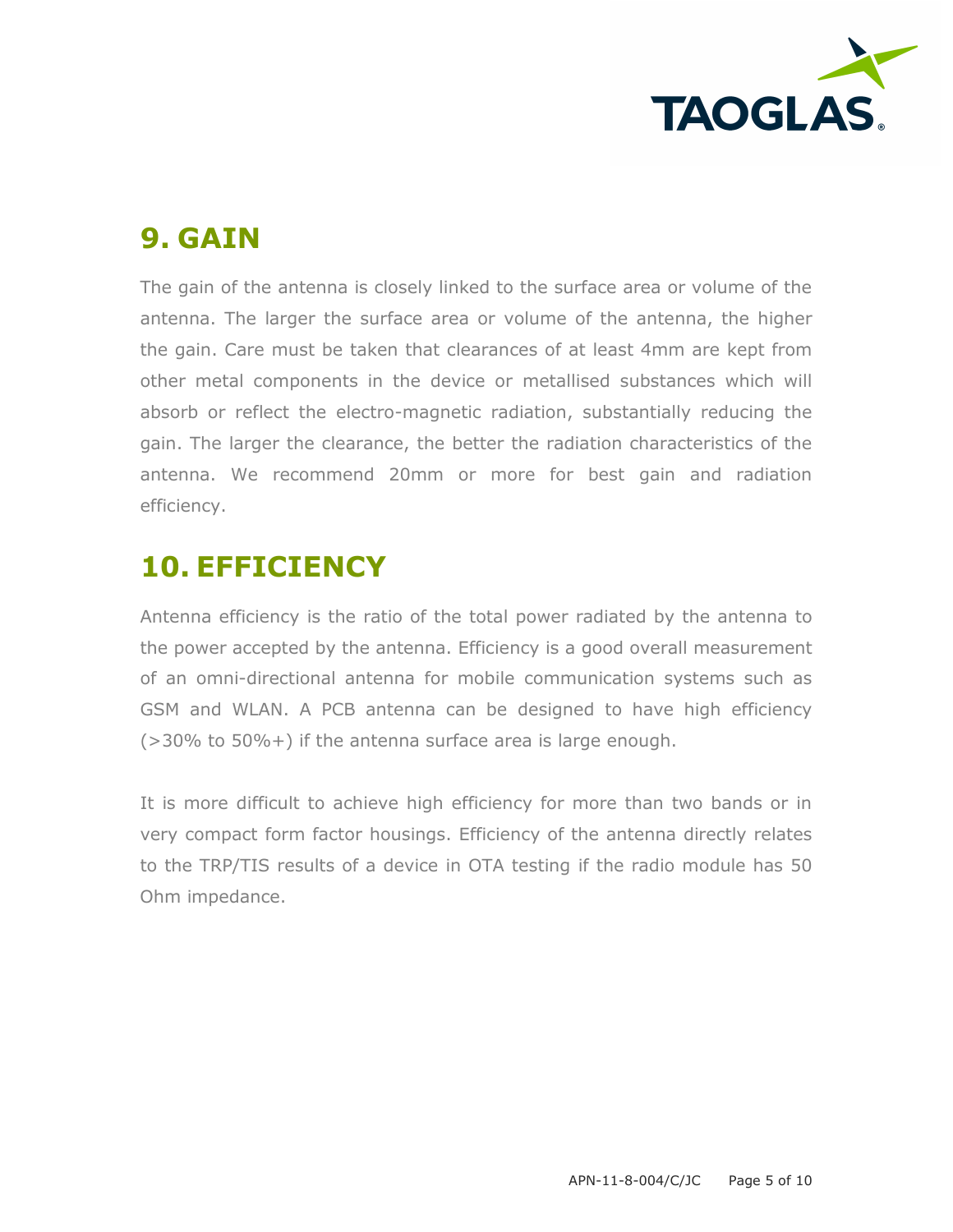

#### **9. GAIN**

The gain of the antenna is closely linked to the surface area or volume of the antenna. The larger the surface area or volume of the antenna, the higher the gain. Care must be taken that clearances of at least 4mm are kept from other metal components in the device or metallised substances which will absorb or reflect the electro-magnetic radiation, substantially reducing the gain. The larger the clearance, the better the radiation characteristics of the antenna. We recommend 20mm or more for best gain and radiation efficiency.

### **10. EFFICIENCY**

Antenna efficiency is the ratio of the total power radiated by the antenna to the power accepted by the antenna. Efficiency is a good overall measurement of an omni-directional antenna for mobile communication systems such as GSM and WLAN. A PCB antenna can be designed to have high efficiency (>30% to 50%+) if the antenna surface area is large enough.

It is more difficult to achieve high efficiency for more than two bands or in very compact form factor housings. Efficiency of the antenna directly relates to the TRP/TIS results of a device in OTA testing if the radio module has 50 Ohm impedance.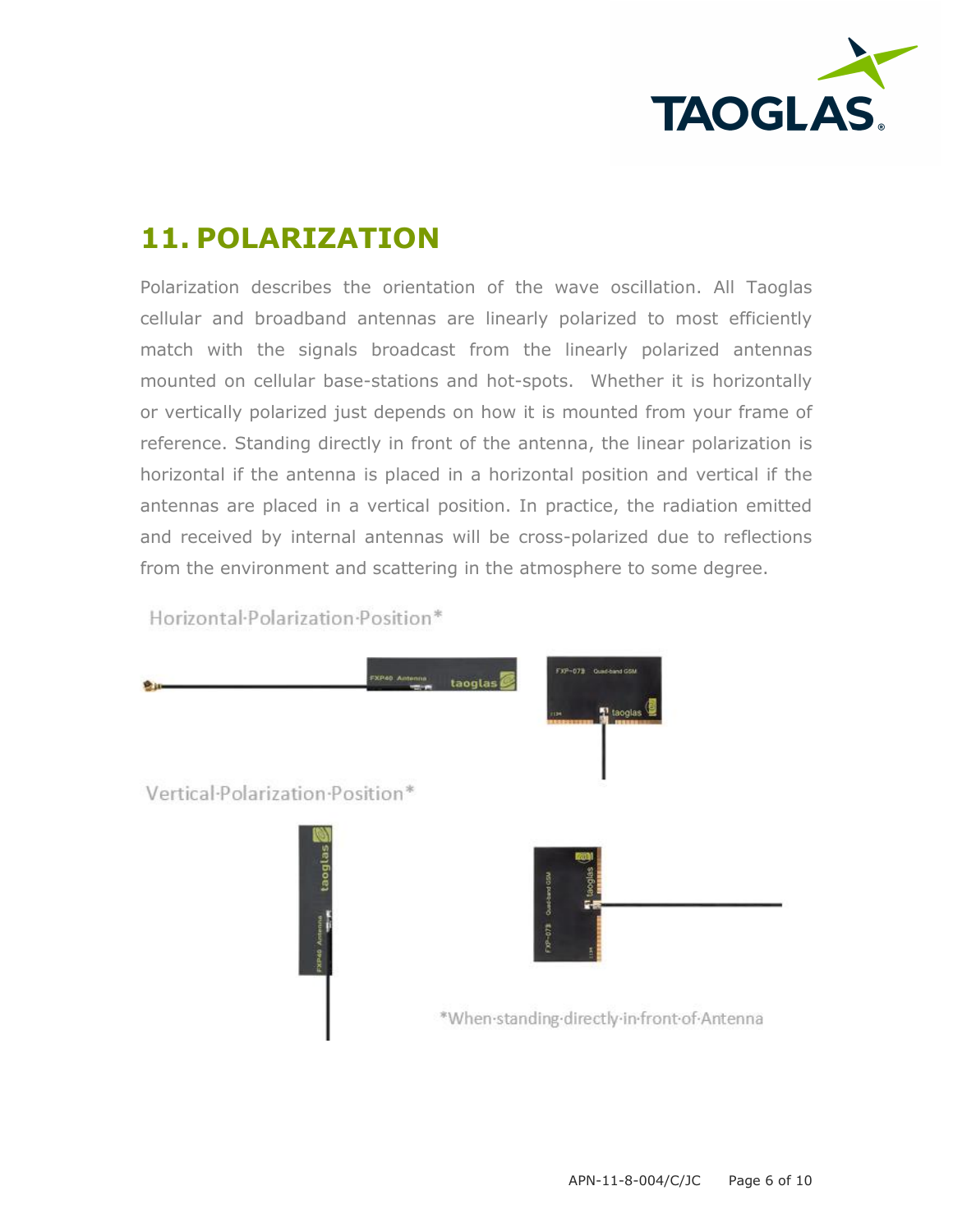

## **11. POLARIZATION**

Polarization describes the orientation of the wave oscillation. All Taoglas cellular and broadband antennas are linearly polarized to most efficiently match with the signals broadcast from the linearly polarized antennas mounted on cellular base-stations and hot-spots. Whether it is horizontally or vertically polarized just depends on how it is mounted from your frame of reference. Standing directly in front of the antenna, the linear polarization is horizontal if the antenna is placed in a horizontal position and vertical if the antennas are placed in a vertical position. In practice, the radiation emitted and received by internal antennas will be cross-polarized due to reflections from the environment and scattering in the atmosphere to some degree.

Horizontal-Polarization-Position\*

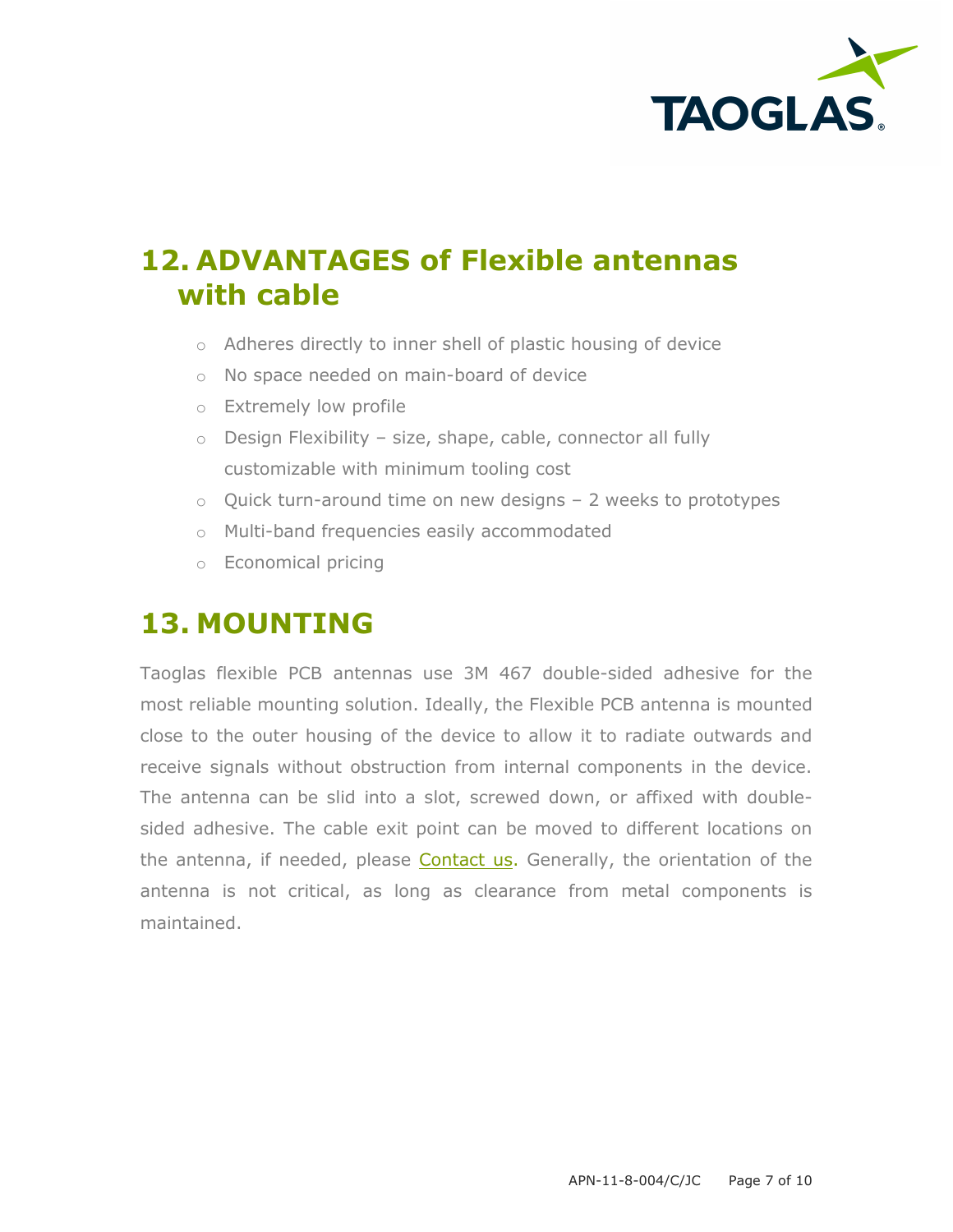

### **12. ADVANTAGES of Flexible antennas with cable**

- o Adheres directly to inner shell of plastic housing of device
- o No space needed on main-board of device
- o Extremely low profile
- $\circ$  Design Flexibility size, shape, cable, connector all fully customizable with minimum tooling cost
- $\circ$  Quick turn-around time on new designs 2 weeks to prototypes
- o Multi-band frequencies easily accommodated
- o Economical pricing

#### **13. MOUNTING**

Taoglas flexible PCB antennas use 3M 467 double-sided adhesive for the most reliable mounting solution. Ideally, the Flexible PCB antenna is mounted close to the outer housing of the device to allow it to radiate outwards and receive signals without obstruction from internal components in the device. The antenna can be slid into a slot, screwed down, or affixed with doublesided adhesive. The cable exit point can be moved to different locations on the antenna, if needed, please [Contact us.](http://taoglas.com/contact/) Generally, the orientation of the antenna is not critical, as long as clearance from metal components is maintained.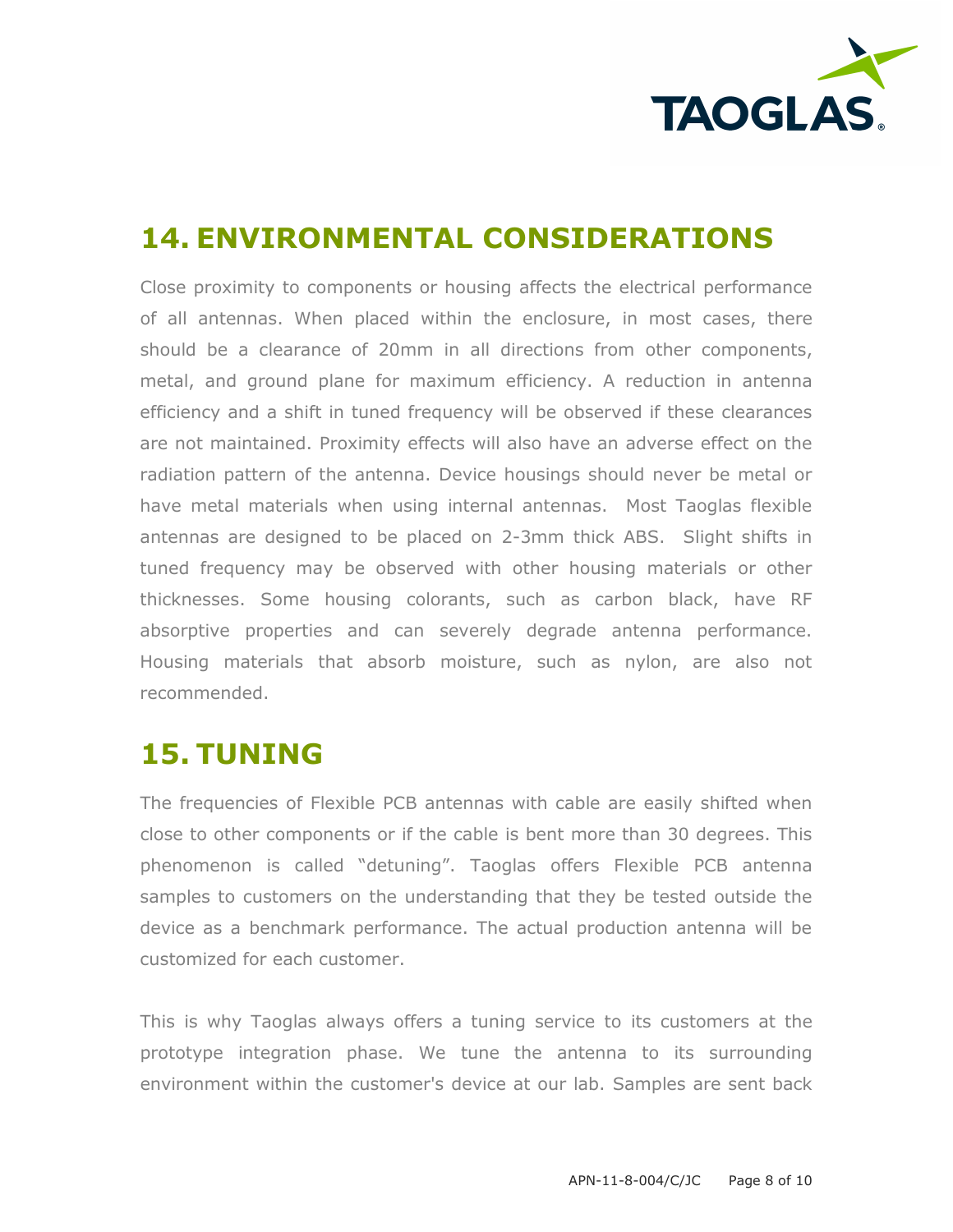

## **14. ENVIRONMENTAL CONSIDERATIONS**

Close proximity to components or housing affects the electrical performance of all antennas. When placed within the enclosure, in most cases, there should be a clearance of 20mm in all directions from other components, metal, and ground plane for maximum efficiency. A reduction in antenna efficiency and a shift in tuned frequency will be observed if these clearances are not maintained. Proximity effects will also have an adverse effect on the radiation pattern of the antenna. Device housings should never be metal or have metal materials when using internal antennas. Most Taoglas flexible antennas are designed to be placed on 2-3mm thick ABS. Slight shifts in tuned frequency may be observed with other housing materials or other thicknesses. Some housing colorants, such as carbon black, have RF absorptive properties and can severely degrade antenna performance. Housing materials that absorb moisture, such as nylon, are also not recommended.

#### **15. TUNING**

The frequencies of Flexible PCB antennas with cable are easily shifted when close to other components or if the cable is bent more than 30 degrees. This phenomenon is called "detuning". Taoglas offers Flexible PCB antenna samples to customers on the understanding that they be tested outside the device as a benchmark performance. The actual production antenna will be customized for each customer.

This is why Taoglas always offers a tuning service to its customers at the prototype integration phase. We tune the antenna to its surrounding environment within the customer's device at our lab. Samples are sent back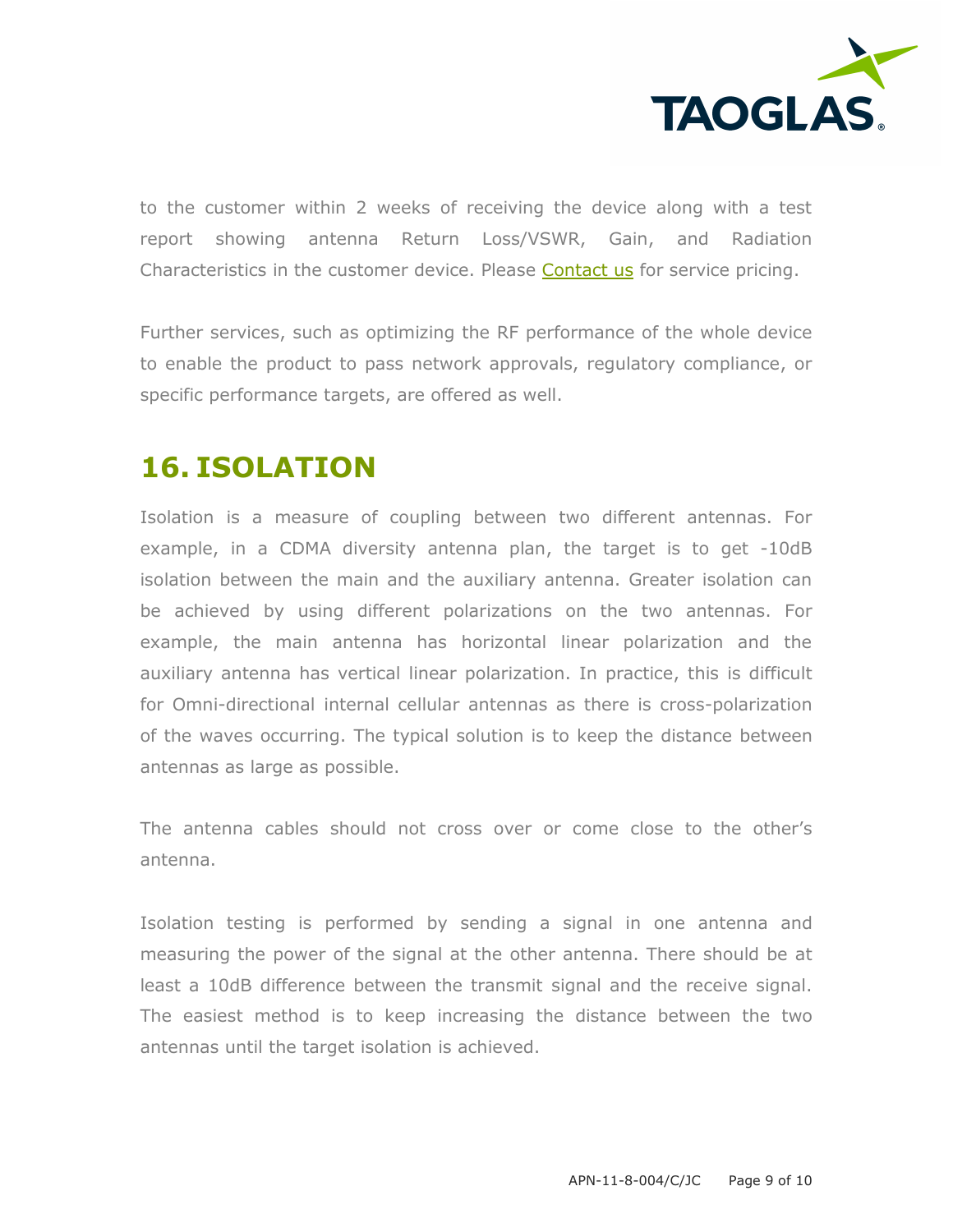

to the customer within 2 weeks of receiving the device along with a test report showing antenna Return Loss/VSWR, Gain, and Radiation Characteristics in the customer device. Please [Contact us](http://taoglas.com/contact/) for service pricing.

Further services, such as optimizing the RF performance of the whole device to enable the product to pass network approvals, regulatory compliance, or specific performance targets, are offered as well.

### **16. ISOLATION**

Isolation is a measure of coupling between two different antennas. For example, in a CDMA diversity antenna plan, the target is to get -10dB isolation between the main and the auxiliary antenna. Greater isolation can be achieved by using different polarizations on the two antennas. For example, the main antenna has horizontal linear polarization and the auxiliary antenna has vertical linear polarization. In practice, this is difficult for Omni-directional internal cellular antennas as there is cross-polarization of the waves occurring. The typical solution is to keep the distance between antennas as large as possible.

The antenna cables should not cross over or come close to the other's antenna.

Isolation testing is performed by sending a signal in one antenna and measuring the power of the signal at the other antenna. There should be at least a 10dB difference between the transmit signal and the receive signal. The easiest method is to keep increasing the distance between the two antennas until the target isolation is achieved.